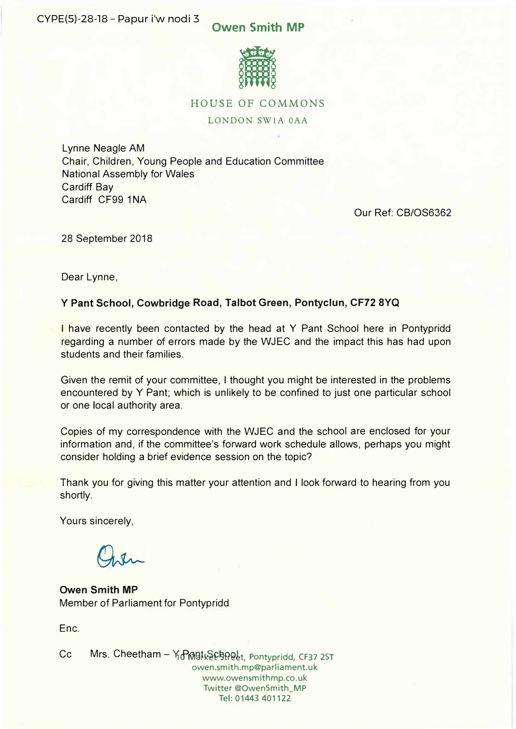# **Owen Smith MP**



## HOUSE OF COMMONS

## LONDON SWlA OAA

Lynne Neagle AM Chair, Children, Young People and Education Committee National Assembly for Wales Cardiff Bay Cardiff CF99 1NA

Our Ref: CB/OS6362

28 September 2018

Dear Lynne,

# **Y Pant School, Cowbridge Road, Talbot Green, Pontyclun, CF72 8YQ**

I have recently been contacted by the head at Y Pant School here in Pontypridd regarding a number of errors made by the WJEC and the impact this has had upon students and their families.

Given the remit of your committee, I thought you might be interested in the problems encountered by Y Pant; which is unlikely to be confined to just one particular school or one local authority area.

Copies of my correspondence with the WJEC and the school are enclosed for your information and, if the committee's forward work schedule allows, perhaps you might consider holding a brief evidence session on the topic?

Thank you for giving this matter your attention and I look forward to hearing from you shortly.

Yours sincerely,

**Owen Smith MP**  Member of Parliament for Pontypridd

Enc.

Cc Mrs. Cheetham – ነ<sub>ው</sub> በመያቱል የ<u>መደረ</u>ት, Pontypridd, CF37 2ST owen.smith.mp@parliament.uk www.owensmithmp.co.uk Twitter @OwenSmith\_MP Tel: 01443 401122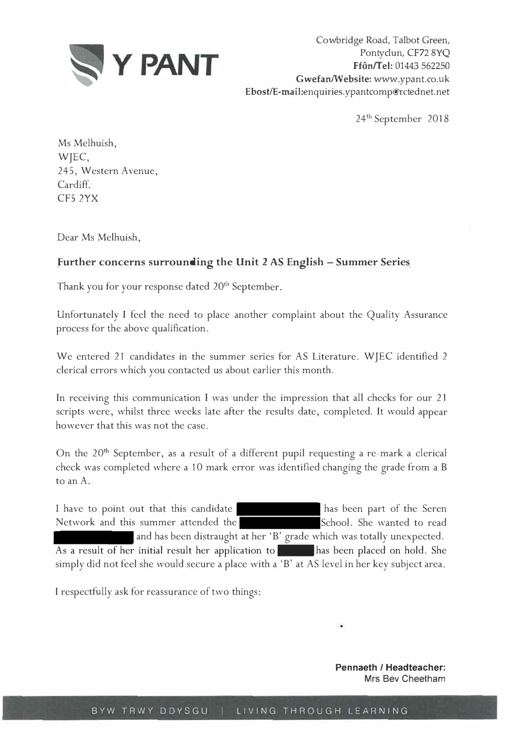

Cowbridge Road, Talbot Green, Pontyclun, CF72 8YQ **Ffon/Tel:** 01443 562250 **Gwefan/Website:** www.ypant.co.uk Ebost/E-mail:enquiries.ypantcomp@rctednet.net

<sup>24</sup>th September 2018

Ms Melhuish, WJEC, 245, Western Avenue, Cardif<sup>f</sup> . CFS 2YX

Dear Ms Melhuish,

# **Further concerns surrounding the Unit 2 AS English - Summer Series**

Thank you for your response dated  $20<sup>th</sup>$  September.

Unfortunately I feel the need to place another complaint about the Quality Assurance process for the above qualification.

We entered 21 candidates in the summer series for AS Literature. WJEC identified 2 clerical errors which you contacted us about earlier this month.

In receiving this communication I was under the impression that all checks for our 21 scripts were, whilst three weeks late after the results date, completed. It would appear however that this was not the case.

On the  $20<sup>th</sup>$  September, as a result of a different pupil requesting a re-mark a clerical check was completed where a 10 mark error was identified changing the grade from a B to an A.

I have to point out that this candidate has been part of the Seren Network and this summer attended the School. She wanted to read and has been distraught at her 'B' grade which was totally unexpected. As a result of her initial result her application to has been placed on hold. She simply did not feel she would secure a place with a 'B' at AS level in her key subject area.

I respectfully ask for reassurance of two things:

**Pennaeth / Headteacher: Mrs Bev Cheetham**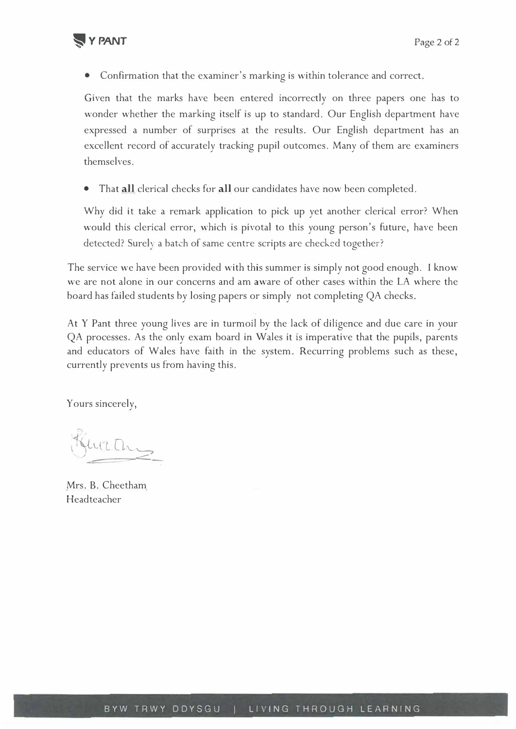

• Confirmation that the examiner's marking is within tolerance and correct.

Given that the marks have been entered incorrectly on three papers one has to wonder whether the marking itself is up to standard. Our English department have expressed a number of surprises at the results. Our English department has an excellent record of accurately tracking pupil outcomes. Many of them are examiners themselves.

• That **all** clerical checks for **all** our candidates have now been completed.

Why did it take a remark application to pick up yet another clerical error? When would this clerical error, which is pivotal to this young person's future, have been detected? Surely a batch of same centre scripts are checked together?

The service we have been provided with this summer is simply not good enough. I know we are not alone in our concerns and am aware of other cases within the LA where the board has failed students by losing papers or simply not completing QA checks.

At Y Pant three young lives are in turmoil by the lack of diligence and due care in your QA processes. As the only exam board in Wales it is imperative that the pupils, parents and educators of Wales have faith in the system. Recurring problems such as these, currently prevents us from having this.

Yours sincerely,

 $\frac{1}{2}$ 

Mrs. B. Cheetham Headteacher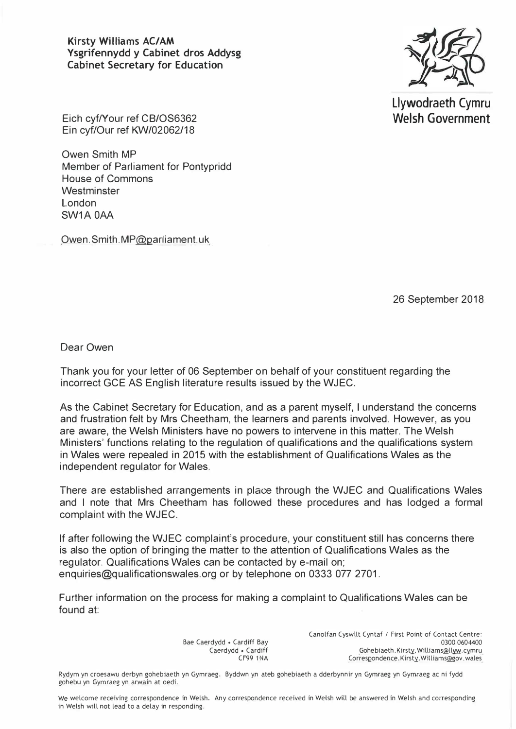**Kirsty Williams AC/AM Ysgrifennydd y Cabinet dros Addysg Cabinet Secretary for Education** 



**Llywodraeth Cymru Welsh Government** 

Eich cyf/Your ref CB/OS6362 Ein cyf/Our ref KW/02062/18

Owen Smith MP Member of Parliament for Pontypridd House of Commons **Westminster** London SW1A OAA

Owen.Smith.MP@parliament.uk

26 September 2018

Dear Owen

Thank you for your letter of 06 September on behalf of your constituent regarding the incorrect GCE AS English literature results issued by the WJEC.

As the Cabinet Secretary for Education, and as a parent myself, I understand the concerns and frustration felt by Mrs Cheetham, the learners and parents involved. However, as you are aware, the Welsh Ministers have no powers to intervene in this matter. The Welsh Ministers' functions relating to the regulation of qualifications and the qualifications system in Wales were repealed in 2015 with the establishment of Qualifications Wales as the independent regulator for Wales.

There are established arrangements in place through the WJEC and Qualifications Wales and I note that Mrs Cheetham has followed these procedures and has lodged a formal complaint with the WJEC.

If after following the WJEC complaint's procedure, your constituent still has concerns there is also the option of bringing the matter to the attention of Qualifications Wales as the regulator. Qualifications Wales can be contacted by e-mail on; enquiries@qualificationswales.org or by telephone on 0333 077 2701.

Further information on the process for making a complaint to Qualifications Wales can be found at:

> Bae Caerdydd • Cardiff Bay Caerdydd • Cardiff CF99 1 NA

Canolfan Cyswllt Cyntaf *I* First Point of Contact Centre: 0300 0604400<br>Gohebiaeth.Kirsty.Williams@llyw.cymru Correspondence.Kirsty. Williams@gov. wales

Rydym yn croesawu derbyn gohebiaeth yn Gymraeg. Byddwn yn ateb gohebiaeth a dderbynnir yn Gymraeg yn Gymraeg ac ni fydd gohebu yn Gymraeg yn arwain at oedi.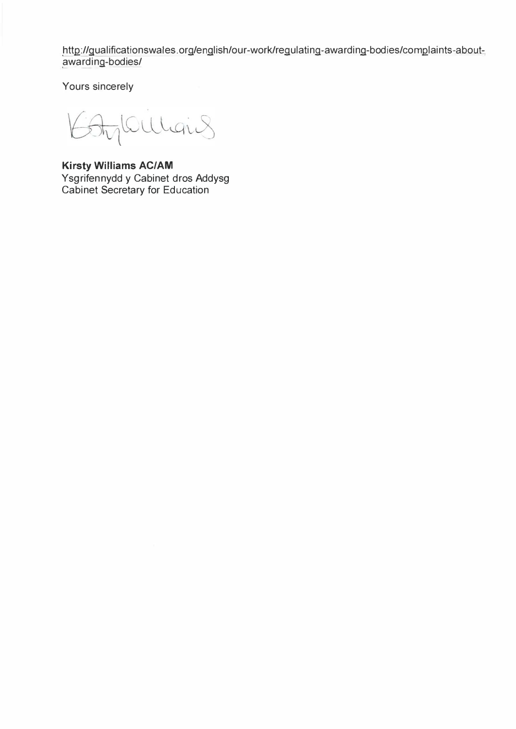http://qualificationswales.org/english/our-work/regulating-awarding-bodies/complaints-aboutawarding-bodies/

Yours sincerely

AylOulians  $K$ 

**Kirsty Williams AC/AM**  Ysgrifennydd y Cabinet dros Addysg Cabinet Secretary for Education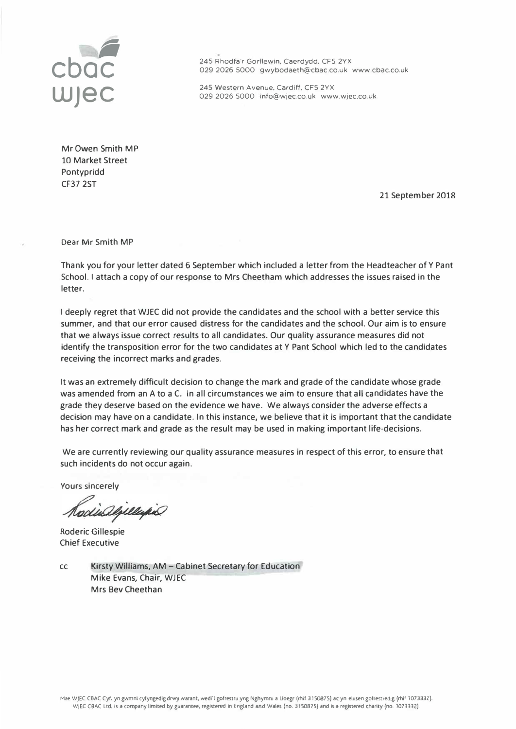

**CDOC** 245 Rhodfa'r Gorllewin, Caerdydd, CFS 2YX<br>
029 2026 5000 gwybodaeth@cbac.co.uk www.cbac.co.uk

245 Western Avenue, Cardiff, CFS 2YX 029 2026 5000 1nfo@wjec.co.uk www.wjec.co.uk

Mr **Owen** Smith MP 10 Market Street Pontypridd CF37 2ST

21 September 2018

Dear Mr Smith MP

Thank you for your letter dated 6 September which included a letter from the Headteacher of Y Pant School. I attach a copy of our response to Mrs Cheetham which addresses the issues raised in the letter.

I deeply regret that WJEC did not provide the candidates and the school with a better service this summer, and that our error caused distress for the candidates and the school. Our aim is to ensure that we always issue correct results to all candidates. Our quality assurance measures did not identify the transposition error for the two candidates at Y Pant School which led to the candidates receiving the incorrect marks and grades.

It was an extremely difficult decision to change the mark and grade of the candidate whose grade was amended from an A to a C. In all circumstances we aim to ensure that all candidates have the grade they deserve based on the evidence we have. We always consider the adverse effects a decision may have on a candidate. In this instance, we believe that it is important that the candidate has her correct mark and grade as the result may be used in making important life-decisions.

We are currently reviewing our quality assurance measures in respect of this error, to ensure that such incidents do not occur again.

Yours sincerely

odis algulario

Roderic Gillespie Chief Executive

cc Kirsty Williams, AM - Cabinet Secretary for Education Mike Evans, Chair, WJEC Mrs Bev Cheethan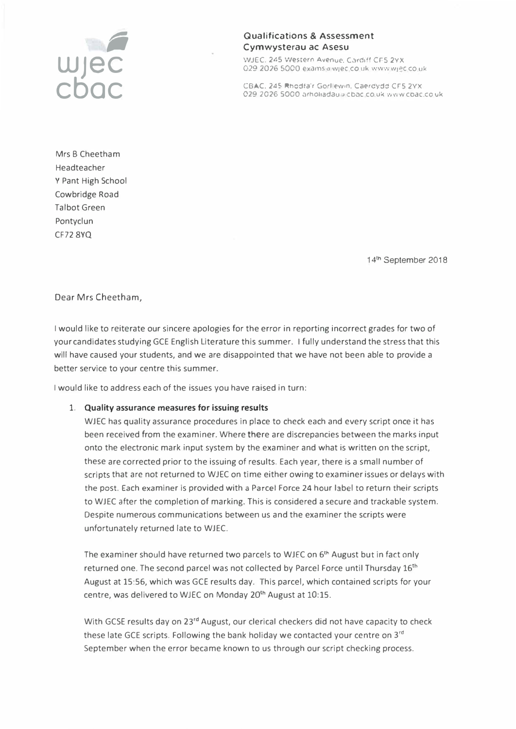

#### Qualifications & Assessment Cymwysterau ac Asesu

WJEC. 245 Western Avenue. Cardiff CF5 2YX 029 2026 5000 exams a wjec co uk www.wjec.co.uk

CBAC. 245 Rhcdta'r Go-1 ew,n. Caercydd crs 2YX 029 2026 5000 arholiadau a cbac.co.uk www.coac.co.uk

Mrs B Cheetham Headteacher Y Pant High School Cowbridge Road Talbot Green Pontyclun CF72 8YQ

<sup>14</sup>th September 2018

Dear Mrs Cheetham,

I would like to reiterate our sincere apologies for the error in reporting incorrect grades for two of your candidates studying GCE English Literature this summer. I fully understand the stress that this will have caused your students, and we are disappointed that we have not been able to provide a better service to your centre this summer.

I would like to address each of the issues you have raised in turn:

#### **1. Quality assurance measures for issuing results**

WJEC has quality assurance procedures in place to check each and every script once it has been received from the examiner. Where there are discrepancies between the marks input onto the electronic mark input system by the examiner and what is written on the script, these are corrected prior to the issuing of results. Each year, there is a small number of scripts that are not returned to WJEC on time either owing to examiner issues or delays with the post. Each examiner is provided with a Parcel Force 24 hour label to return their scripts to WJEC after the completion of marking. This is considered a secure and trackable system. Despite numerous communications between us and the examiner the scripts were unfortunately returned late to WJEC.

The examiner should have returned two parcels to WJEC on 6<sup>th</sup> August but in fact only returned one. The second parcel was not collected by Parcel Force until Thursday 16<sup>th</sup> August at 15:56, which was GCE results day. This parcel, which contained scripts for your centre, was delivered to WJEC on Monday 20<sup>th</sup> August at 10:15.

With GCSE results day on 23<sup>rd</sup> August, our clerical checkers did not have capacity to check these late GCE scripts. Following the bank holiday we contacted your centre on 3<sup>rd</sup> September when the error became known to us through our script checking process.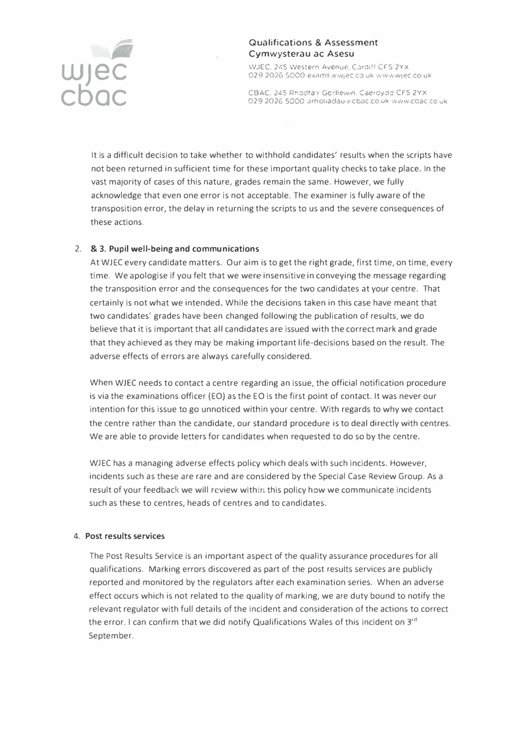

## Qualifications & Assessment Cymwysterau ac Asesu

WJEC, 245 Western Avenue, Cardiff CF5 2YX 029 2026 5000 exams a wiec co uk www.wiec.co uk

CBAC. 245 Rhodfa r Gorllewin, Caeroydo CF5 2YX 029 2026 5000 arholiadau a cbac co.uk www.ccac.co.uk

It is a difficult decision to take whether to withhold candidates' results when the scripts have not been returned in sufficient time for these important quality checks to take place. In the vast majority of cases of this nature, grades remain the same. However, we fully acknowledge that even one error is not acceptable. The examiner is fully aware of the transposition error, the delay in returning the scripts to us and the severe consequences of these actions.

## 2. & **3. Pupil well-being and communications**

At WJEC every candidate matters. Our aim is to get the right grade, first time, on time, every time. We apologise if you felt that we were insensitive in conveying the message regarding the transposition error and the consequences for the two candidates at your centre. That certainly is not what we intended. While the decisions taken in this case have meant that two candidates' grades have been changed following the publication of results, we do believe that it is important that all candidates are issued with the correct mark and grade that they achieved as they may be making important life-decisions based on the result. The adverse effects of errors are always carefully considered.

When WJEC needs to contact a centre regarding an issue, the official notification procedure is via the examinations officer (EO) as the EO is the first point of contact. It was never our intention for this issue to go unnoticed within your centre. With regards to why we contact the centre rather than the candidate, our standard procedure is to deal directly with centres. We are able to provide letters for candidates when requested to do so by the centre.

WJEC has a managing adverse effects policy which deals with such incidents. However, incidents such as these are rare and are considered by the Special Case Review Group. As a result of your feedback we will review within this policy how we communicate incidents such as these to centres, heads of centres and to candidates.

#### **4. Post results services**

The Post Results Service is an important aspect of the quality assurance procedures for all qualifications. Marking errors discovered as part of the post results services are publicly reported and monitored by the regulators after each examination series. When an adverse effect occurs which is not related to the quality of marking, we are duty bound to notify the relevant regulator with full details of the incident and consideration of the actions to correct the error. I can confirm that we did notify Qualifications Wales of this incident on 3**rd**  September.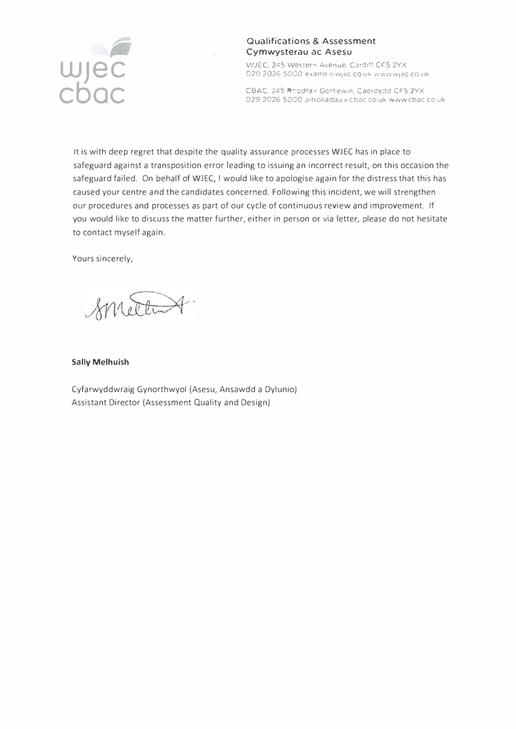

### **Qualifications & Assessment Cymwysterau ac Asesu**

WJEC. 245 Western Avenue. Cardiff CF5 2YX 029-2026 5000 exams a wiec co uk www.wiec.co.uk

CBAC. 245 Rhodfa'r Gorllewin, Caerdydd CF5 2YX. 029 2026 5000 arholiadau a cbac co uk www cbac co uk

It is with deep regret that despite the quality assurance processes WJEC has in place to safeguard against a transposition error leading to issuing an incorrect result, on this occasion the safeguard failed. On behalf of WJEC, I would like to apologise again for the distress that this has caused your centre and the candidates concerned. Following this incident, we will strengthen our procedures and processes as part of our cycle of continuous review and improvement. If you would like to discuss the matter further, either in person or via letter, please do not hesitate to contact myself again.

Yours sincerely,

Smettent

#### **Sally Melhuish**

Cyfarwyddwraig Gynorthwyol (Asesu, Ansawdd a Dylunio) Assistant Director (Assessment Quality and Design)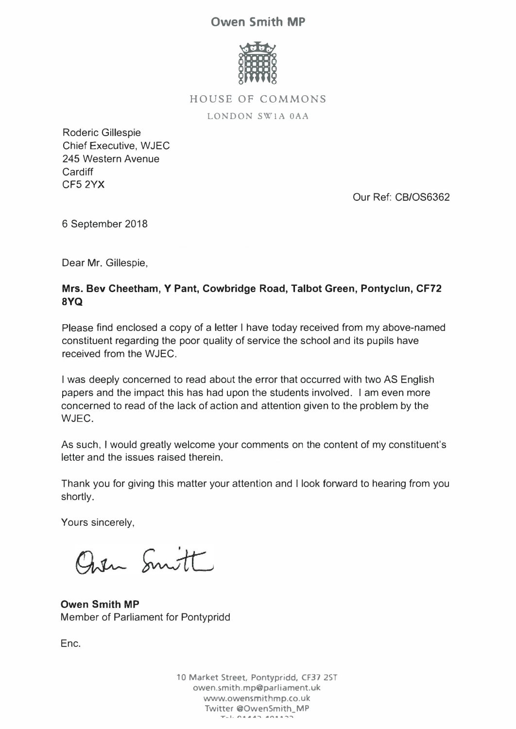# **Owen Smith MP**



**HOUSE OF COMMONS** 

LONDON SW1A 0AA

Roderic Gillespie Chief Executive, WJEC 245 Western Avenue **Cardiff** CFS 2YX

Our Ref: CB/OS6362

6 September 2018

Dear Mr. Gillespie,

# **Mrs. Bev Cheetham, Y Pant, Cowbridge Road, Talbot Green, Pontyclun, CF72 8YQ**

Please find enclosed a copy of a letter I have today received from my above-named constituent regarding the poor quality of service the school and its pupils have received from the WJEC.

I was deeply concerned to read about the error that occurred with two AS English papers and the impact this has had upon the students involved. I am even more concerned to read of the lack of action and attention given to the problem by the WJEC.

As such, I would greatly welcome your comments on the content of my constituent's letter and the issues raised therein.

Thank you for giving this matter your attention and I look forward to hearing from you shortly.

Yours sincerely,

Open Smitt

**Owen Smith MP**  Member of Parliament for Pontypridd

Enc.

**10 Market Street, Pontypridd, CF37 2ST owen.smith.mp@parliament.uk www.owensmithmp.co.uk Twitter @OwenSmith\_MP** *�-•• l'\4 •A""\ .. ,,. • ..,..\_�*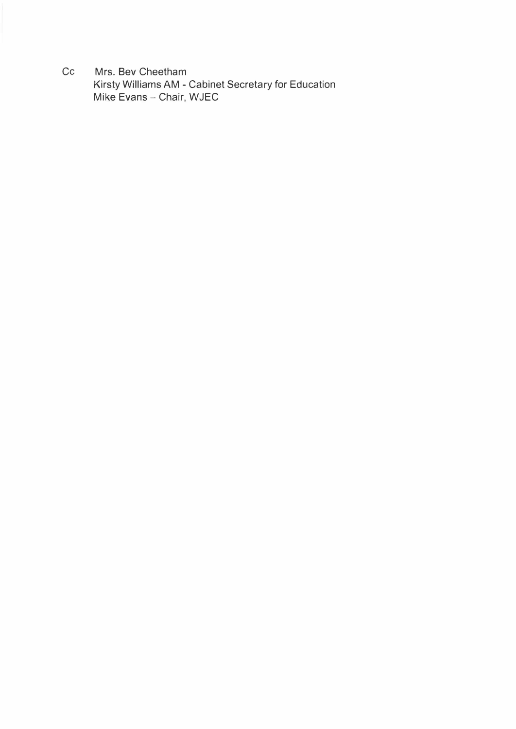Cc Mrs. Bev Cheetham Kirsty Williams AM - Cabinet Secretary for Education Mike Evans - Chair, WJEC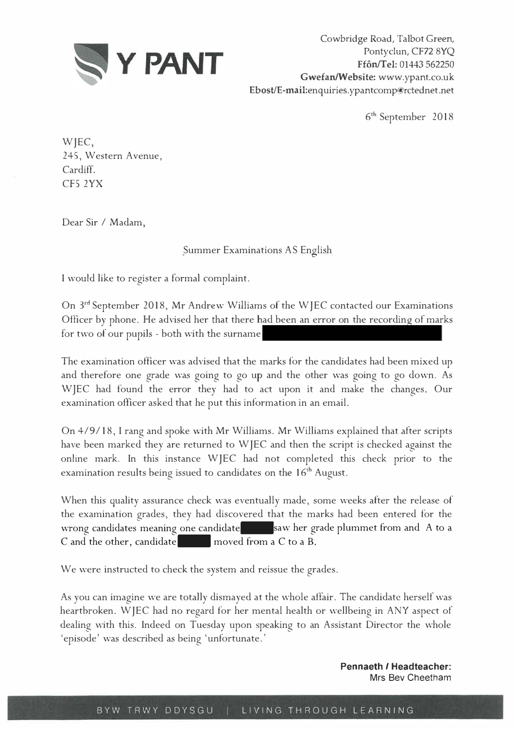

Cowbridge Road, Talbot Green, Pontyclun, CF72 8YQ **Ffon/Tel:** 01443 562250 **Gwefan/Website:** www.ypant.co.uk Ebost/E-mail:enquiries.ypantcomp@rctednet.net

6th September 2018

WJEC, 245, Western Avenue, Cardiff. CF52YX

Dear Sir / Madam,

# Summer Examinations AS English

I would like to register a formal complaint.

On 3rd September 2018, Mr Andrew Williams of the WJEC contacted our Examinations Officer by phone. He advised her that there had been an error on the recording of marks for two of our pupils - both with the surname

The examination officer was advised that the marks for the candidates had been mixed up and therefore one grade was going to go up and the other was going to go down. As WJEC had found the error they had to act upon it and make the changes. Our examination officer asked that he put this information in an email.

On 4/9 / 18, I rang and spoke with Mr Williams. Mr Williams explained that after scripts have been marked they are returned to WJEC and then the script is checked against the online mark. In this instance WJEC had not completed this check prior to the examination results being issued to candidates on the 16<sup>th</sup> August.

When this quality assurance check was eventually made, some weeks after the release of the examination grades, they had discovered that the marks had been entered for the wrong candidates meaning one candidate saw her grade plummet from and A to a C and the other, candidate moved from a C to a B.

We were instructed to check the system and reissue the grades.

As you can imagine we are totally dismayed at the whole affair. The candidate herself was heartbroken. WJEC had no regard for her mental health or wellbeing in ANY aspect of dealing with this. Indeed on Tuesday upon speaking to an Assistant Director the whole 'episode' was described as being 'unfortunate.'

> **Pennaeth** *I* **Headteacher:**  Mrs Bev Cheetham